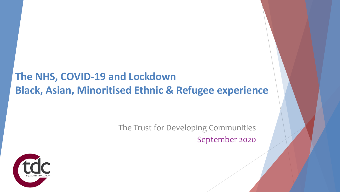### **The NHS, COVID-19 and Lockdown Black, Asian, Minoritised Ethnic & Refugee experience**

The Trust for Developing Communities September 2020

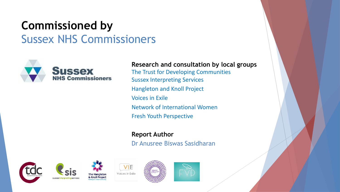## **Commissioned by**  Sussex NHS Commissioners



sussexinternret

#### **Research and consultation by local groups**

The Trust for Developing Communities Sussex Interpreting Services Hangleton and Knoll Project Voices in Exile Network of International Women Fresh Youth Perspective

**Report Author** Dr Anusree Biswas Sasidharan







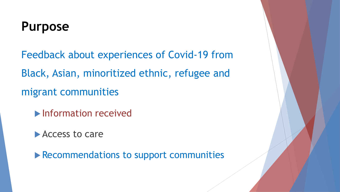# **Purpose**

Feedback about experiences of Covid-19 from Black, Asian, minoritized ethnic, refugee and migrant communities

- **Information received**
- **Access to care**

**Recommendations to support communities**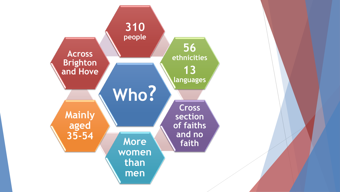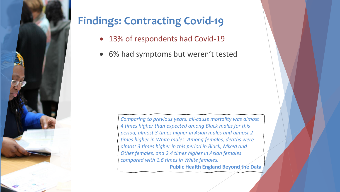

## **Findings: Contracting Covid-19**

- 13% of respondents had Covid-19
- 6% had symptoms but weren't tested

*Comparing to previous years, all-cause mortality was almost 4 times higher than expected among Black males for this period, almost 3 times higher in Asian males and almost 2 times higher in White males. Among females, deaths were almost 3 times higher in this period in Black, Mixed and Other females, and 2.4 times higher in Asian females compared with 1.6 times in White females.*  **Public Health England Beyond the Data**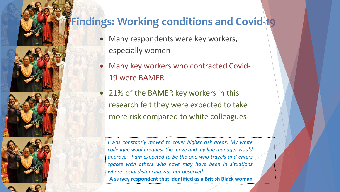### **Findings: Working conditions and Covid-19**

- Many respondents were key workers, especially women
- Many key workers who contracted Covid-19 were BAMER
- 21% of the BAMER key workers in this research felt they were expected to take more risk compared to white colleagues

*I was constantly moved to cover higher risk areas. My white colleague would request the move and my line manager would approve. I am expected to be the one who travels and enters spaces with others who have may have been in situations where social distancing was not observed* **A survey respondent that identified as a British Black woman**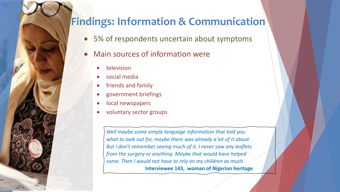#### **Findings: Information & Communication**

- 5% of respondents uncertain about symptoms
- Main sources of information were
	- **television**
	- social media
	- friends and family
	- government briefings
	- local newspapers
	- voluntary sector groups

*Well maybe some simple language information that told you what to look out for, maybe there was already a lot of it about. But I don't remember seeing much of it. I never saw any leaflets from the surgery or anything. Maybe that would have helped some. Then I would not have to rely on my children as much.* **Interviewee 143, woman of Nigerian heritage**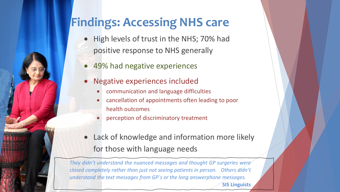## **Findings: Accessing NHS care**

- High levels of trust in the NHS; 70% had positive response to NHS generally
- 49% had negative experiences
- Negative experiences included
	- communication and language difficulties
	- cancellation of appointments often leading to poor health outcomes
	- perception of discriminatory treatment
- Lack of knowledge and information more likely for those with language needs

**SIS Linguists**

*They didn't understand the nuanced messages and thought GP surgeries were closed completely rather than just not seeing patients in person. Others didn't understand the text messages from GP`s or the long answerphone messages.*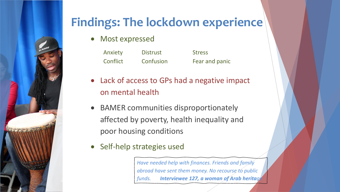

# **Findings: The lockdown experience**

• Most expressed

| Anxiety  | <b>Distrust</b> | <b>Stress</b>  |
|----------|-----------------|----------------|
| Conflict | Confusion       | Fear and panic |

- Lack of access to GPs had a negative impact on mental health
- BAMER communities disproportionately affected by poverty, health inequality and poor housing conditions
- Self-help strategies used

*Have needed help with finances. Friends and family abroad have sent them money. No recourse to public funds. Interviewee 127, a woman of Arab heritage*